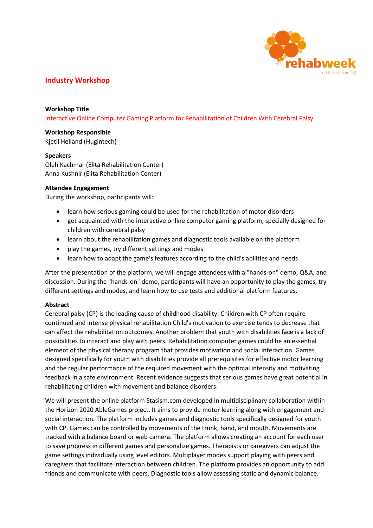

## **Industry Workshop**

**Workshop Title** Interactive Online Computer Gaming Platform for Rehabilitation of Children With Cerebral Palsy

**Workshop Responsible** Kjetil Helland (Hugintech)

## **Speakers**

Oleh Kachmar (Elita Rehabilitation Center) Anna Kushnir (Elita Rehabilitation Center)

## **Attendee Engagement**

During the workshop, participants will:

- learn how serious gaming could be used for the rehabilitation of motor disorders
- get acquainted with the interactive online computer gaming platform, specially designed for children with cerebral palsy
- learn about the rehabilitation games and diagnostic tools available on the platform
- play the games, try different settings and modes
- learn how to adapt the game's features according to the child's abilities and needs

After the presentation of the platform, we will engage attendees with a "hands-on" demo, Q&A, and discussion. During the "hands-on" demo, participants will have an opportunity to play the games, try different settings and modes, and learn how to use tests and additional platform features.

## **Abstract**

Cerebral palsy (CP) is the leading cause of childhood disability. Children with CP often require continued and intense physical rehabilitation Child's motivation to exercise tends to decrease that can affect the rehabilitation outcomes. Another problem that youth with disabilities face is a lack of possibilities to interact and play with peers. Rehabilitation computer games could be an essential element of the physical therapy program that provides motivation and social interaction. Games designed specifically for youth with disabilities provide all prerequisites for effective motor learning and the regular performance of the required movement with the optimal intensity and motivating feedback in a safe environment. Recent evidence suggests that serious games have great potential in rehabilitating children with movement and balance disorders.

We will present the online platform Stasism.com developed in multidisciplinary collaboration within the Horizon 2020 AbleGames project. It aims to provide motor learning along with engagement and social interaction. The platform includes games and diagnostic tools specifically designed for youth with CP. Games can be controlled by movements of the trunk, hand, and mouth. Movements are tracked with a balance board or web camera. The platform allows creating an account for each user to save progress in different games and personalize games. Therapists or caregivers can adjust the game settings individually using level editors. Multiplayer modes support playing with peers and caregivers that facilitate interaction between children. The platform provides an opportunity to add friends and communicate with peers. Diagnostic tools allow assessing static and dynamic balance.